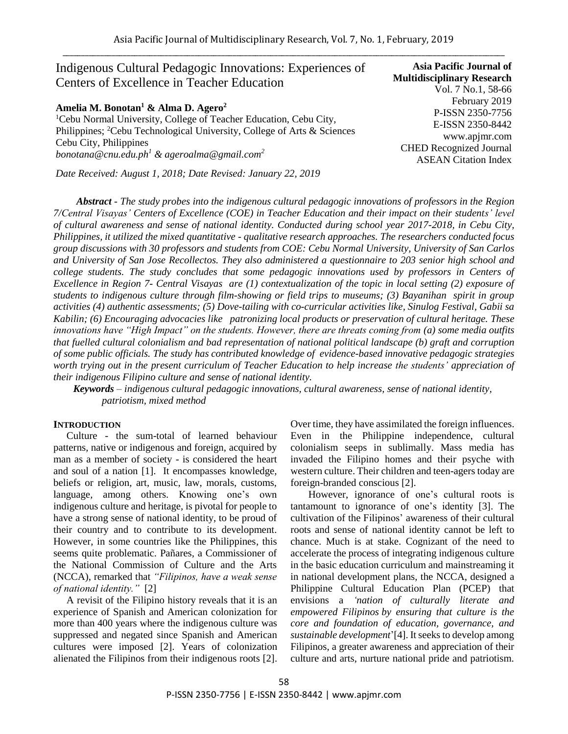# Indigenous Cultural Pedagogic Innovations: Experiences of Centers of Excellence in Teacher Education **Amelia M. Bonotan<sup>1</sup> & Alma D. Agero<sup>2</sup>** <sup>1</sup>Cebu Normal University, College of Teacher Education, Cebu City, **Asia Pacific Journal of**

Philippines; <sup>2</sup>Cebu Technological University, College of Arts & Sciences Cebu City, Philippines *[bonotana@cnu.edu.ph](mailto:bonotana@cnu.edu.ph)<sup>1</sup> & ageroalma@gmail.com<sup>2</sup>*

*Date Received: August 1, 2018; Date Revised: January 22, 2019*

**Multidisciplinary Research** Vol. 7 No.1, 58-66 February 2019 P-ISSN 2350-7756 E-ISSN 2350-8442 www.apjmr.com CHED Recognized Journal ASEAN Citation Index

 *Abstract - The study probes into the indigenous cultural pedagogic innovations of professors in the Region 7/Central Visayas' Centers of Excellence (COE) in Teacher Education and their impact on their students' level of cultural awareness and sense of national identity. Conducted during school year 2017-2018, in Cebu City, Philippines, it utilized the mixed quantitative - qualitative research approaches. The researchers conducted focus group discussions with 30 professors and students from COE: Cebu Normal University, University of San Carlos and University of San Jose Recollectos. They also administered a questionnaire to 203 senior high school and college students. The study concludes that some pedagogic innovations used by professors in Centers of Excellence in Region 7- Central Visayas are (1) contextualization of the topic in local setting (2) exposure of students to indigenous culture through film-showing or field trips to museums; (3) Bayanihan spirit in group activities (4) authentic assessments; (5) Dove-tailing with co-curricular activities like, Sinulog Festival, Gabii sa Kabilin; (6) Encouraging advocacies like patronizing local products or preservation of cultural heritage. These innovations have "High Impact" on the students. However, there are threats coming from (a) some media outfits that fuelled cultural colonialism and bad representation of national political landscape (b) graft and corruption of some public officials. The study has contributed knowledge of evidence-based innovative pedagogic strategies worth trying out in the present curriculum of Teacher Education to help increase the students' appreciation of their indigenous Filipino culture and sense of national identity.*

*Keywords – indigenous cultural pedagogic innovations, cultural awareness, sense of national identity, patriotism, mixed method*

#### **INTRODUCTION**

Culture - the sum-total of learned behaviour patterns, native or indigenous and foreign, acquired by man as a member of society - is considered the heart and soul of a nation [1]. It encompasses knowledge, beliefs or religion, art, music, law, morals, customs, language, among others. Knowing one's own indigenous culture and heritage, is pivotal for people to have a strong sense of national identity, to be proud of their country and to contribute to its development. However, in some countries like the Philippines, this seems quite problematic. Pañares, a Commissioner of the National Commission of Culture and the Arts (NCCA), remarked that *"Filipinos, have a weak sense of national identity."* [2]

A revisit of the Filipino history reveals that it is an experience of Spanish and American colonization for more than 400 years where the indigenous culture was suppressed and negated since Spanish and American cultures were imposed [2]. Years of colonization alienated the Filipinos from their indigenous roots [2]. Over time, they have assimilated the foreign influences. Even in the Philippine independence, cultural colonialism seeps in sublimally. Mass media has invaded the Filipino homes and their psyche with western culture. Their children and teen-agers today are foreign-branded conscious [2].

 However, ignorance of one's cultural roots is tantamount to ignorance of one's identity [3]. The cultivation of the Filipinos' awareness of their cultural roots and sense of national identity cannot be left to chance. Much is at stake. Cognizant of the need to accelerate the process of integrating indigenous culture in the basic education curriculum and mainstreaming it in national development plans, the NCCA, designed a Philippine Cultural Education Plan (PCEP) that envisions a *'nation of culturally literate and empowered Filipinos by ensuring that culture is the core and foundation of education, governance, and sustainable development*'[4]. It seeks to develop among Filipinos, a greater awareness and appreciation of their culture and arts, nurture national pride and patriotism.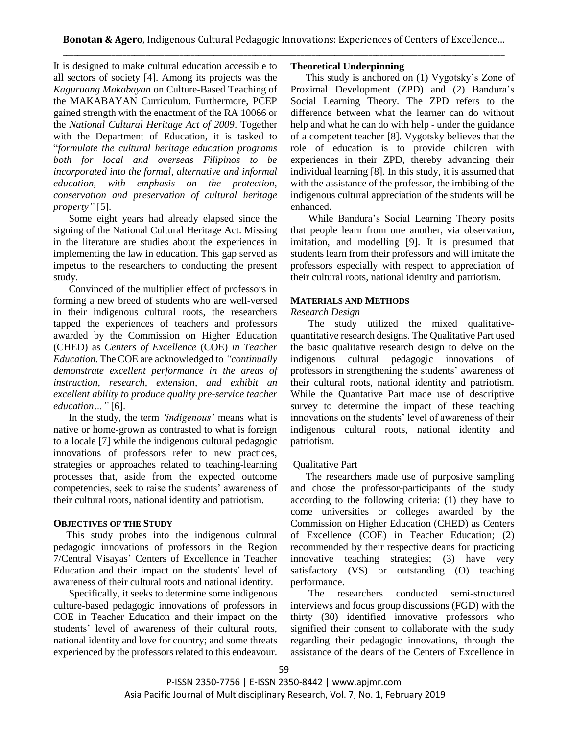It is designed to make cultural education accessible to all sectors of society [4]. Among its projects was the *Kaguruang Makabayan* on Culture-Based Teaching of the MAKABAYAN Curriculum. Furthermore, PCEP gained strength with the enactment of the RA 10066 or the *National Cultural Heritage Act of 2009*. Together with the Department of Education, it is tasked to "*formulate the cultural heritage education programs both for local and overseas Filipinos to be incorporated into the formal, alternative and informal education, with emphasis on the protection, conservation and preservation of cultural heritage property"* [5].

Some eight years had already elapsed since the signing of the National Cultural Heritage Act. Missing in the literature are studies about the experiences in implementing the law in education. This gap served as impetus to the researchers to conducting the present study.

 Convinced of the multiplier effect of professors in forming a new breed of students who are well-versed in their indigenous cultural roots, the researchers tapped the experiences of teachers and professors awarded by the Commission on Higher Education (CHED) as *Centers of Excellence* (COE) *in Teacher Education.* The COE are acknowledged to *"continually demonstrate excellent performance in the areas of instruction, research, extension, and exhibit an excellent ability to produce quality pre-service teacher education…"* [6].

 In the study, the term *'indigenous'* means what is native or home-grown as contrasted to what is foreign to a locale [7] while the indigenous cultural pedagogic innovations of professors refer to new practices, strategies or approaches related to teaching-learning processes that, aside from the expected outcome competencies, seek to raise the students' awareness of their cultural roots, national identity and patriotism.

#### **OBJECTIVES OF THE STUDY**

 This study probes into the indigenous cultural pedagogic innovations of professors in the Region 7/Central Visayas' Centers of Excellence in Teacher Education and their impact on the students' level of awareness of their cultural roots and national identity.

 Specifically, it seeks to determine some indigenous culture-based pedagogic innovations of professors in COE in Teacher Education and their impact on the students' level of awareness of their cultural roots, national identity and love for country; and some threats experienced by the professors related to this endeavour.

# **Theoretical Underpinning**

 This study is anchored on (1) Vygotsky's Zone of Proximal Development (ZPD) and (2) Bandura's Social Learning Theory. The ZPD refers to the difference between what the learner can do without help and what he can do with help - under the guidance of a competent teacher [8]. Vygotsky believes that the role of education is to provide children with experiences in their ZPD, thereby advancing their individual learning [8]. In this study, it is assumed that with the assistance of the professor, the imbibing of the indigenous cultural appreciation of the students will be enhanced.

 While Bandura's Social Learning Theory posits that people learn from one another, via observation, imitation, and modelling [9]. It is presumed that students learn from their professors and will imitate the professors especially with respect to appreciation of their cultural roots, national identity and patriotism.

### **MATERIALS AND METHODS**

### *Research Design*

 The study utilized the mixed qualitativequantitative research designs. The Qualitative Part used the basic qualitative research design to delve on the indigenous cultural pedagogic innovations of professors in strengthening the students' awareness of their cultural roots, national identity and patriotism. While the Quantative Part made use of descriptive survey to determine the impact of these teaching innovations on the students' level of awareness of their indigenous cultural roots, national identity and patriotism.

# Qualitative Part

 The researchers made use of purposive sampling and chose the professor-participants of the study according to the following criteria: (1) they have to come universities or colleges awarded by the Commission on Higher Education (CHED) as Centers of Excellence (COE) in Teacher Education; (2) recommended by their respective deans for practicing innovative teaching strategies; (3) have very satisfactory (VS) or outstanding (O) teaching performance.

 The researchers conducted semi-structured interviews and focus group discussions (FGD) with the thirty (30) identified innovative professors who signified their consent to collaborate with the study regarding their pedagogic innovations, through the assistance of the deans of the Centers of Excellence in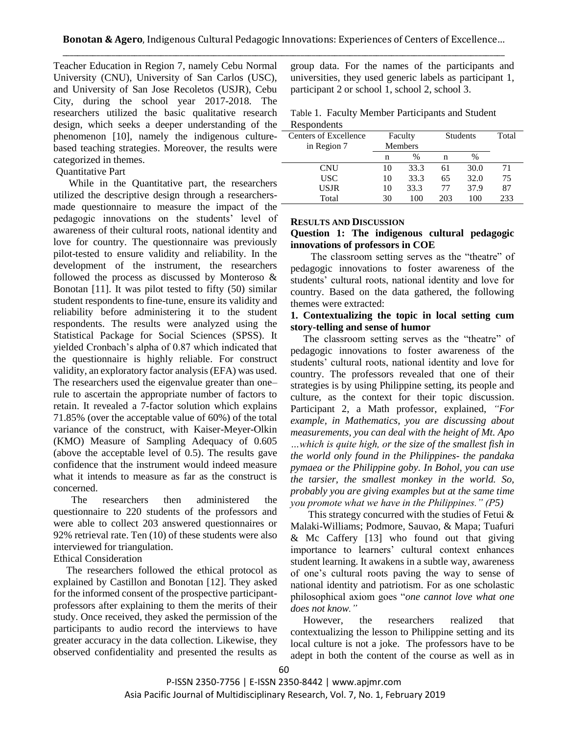Teacher Education in Region 7, namely Cebu Normal University (CNU), University of San Carlos (USC), and University of San Jose Recoletos (USJR), Cebu City, during the school year 2017-2018. The researchers utilized the basic qualitative research design, which seeks a deeper understanding of the phenomenon [10], namely the indigenous culturebased teaching strategies. Moreover, the results were categorized in themes.

#### Quantitative Part

 While in the Quantitative part, the researchers utilized the descriptive design through a researchersmade questionnaire to measure the impact of the pedagogic innovations on the students' level of awareness of their cultural roots, national identity and love for country. The questionnaire was previously pilot-tested to ensure validity and reliability. In the development of the instrument, the researchers followed the process as discussed by Monteroso & Bonotan [11]. It was pilot tested to fifty (50) similar student respondents to fine-tune, ensure its validity and reliability before administering it to the student respondents. The results were analyzed using the Statistical Package for Social Sciences (SPSS). It yielded Cronbach's alpha of 0.87 which indicated that the questionnaire is highly reliable. For construct validity, an exploratory factor analysis (EFA) was used. The researchers used the eigenvalue greater than one– rule to ascertain the appropriate number of factors to retain. It revealed a 7-factor solution which explains 71.85% (over the acceptable value of 60%) of the total variance of the construct, with Kaiser-Meyer-Olkin (KMO) Measure of Sampling Adequacy of 0.605 (above the acceptable level of 0.5). The results gave confidence that the instrument would indeed measure what it intends to measure as far as the construct is concerned.

 The researchers then administered the questionnaire to 220 students of the professors and were able to collect 203 answered questionnaires or 92% retrieval rate. Ten (10) of these students were also interviewed for triangulation.

Ethical Consideration

 The researchers followed the ethical protocol as explained by Castillon and Bonotan [12]. They asked for the informed consent of the prospective participantprofessors after explaining to them the merits of their study. Once received, they asked the permission of the participants to audio record the interviews to have greater accuracy in the data collection. Likewise, they observed confidentiality and presented the results as group data. For the names of the participants and universities, they used generic labels as participant 1, participant 2 or school 1, school 2, school 3.

Table 1. Faculty Member Participants and Student Respondents

| Centers of Excellence | Faculty        |      | <b>Students</b> | Total         |     |
|-----------------------|----------------|------|-----------------|---------------|-----|
| in Region 7           | <b>Members</b> |      |                 |               |     |
|                       | n              | $\%$ | n               | $\frac{0}{0}$ |     |
| <b>CNU</b>            | 10             | 33.3 | 61              | 30.0          | 71  |
| <b>USC</b>            | 10             | 33.3 | 65              | 32.0          | 75  |
| USJR                  | 10             | 33.3 | 77              | 37.9          | 87  |
| Total                 | 30             | 100  | 203             | 100           | 233 |

#### **RESULTS AND DISCUSSION**

### **Question 1: The indigenous cultural pedagogic innovations of professors in COE**

The classroom setting serves as the "theatre" of pedagogic innovations to foster awareness of the students' cultural roots, national identity and love for country. Based on the data gathered, the following themes were extracted:

### **1. Contextualizing the topic in local setting cum story-telling and sense of humor**

 The classroom setting serves as the "theatre" of pedagogic innovations to foster awareness of the students' cultural roots, national identity and love for country. The professors revealed that one of their strategies is by using Philippine setting, its people and culture, as the context for their topic discussion. Participant 2, a Math professor, explained, *"For example, in Mathematics, you are discussing about measurements, you can deal with the height of Mt. Apo …which is quite high, or the size of the smallest fish in the world only found in the Philippines- the pandaka pymaea or the Philippine goby. In Bohol, you can use the tarsier, the smallest monkey in the world. So, probably you are giving examples but at the same time you promote what we have in the Philippines." (P5)*

This strategy concurred with the studies of Fetui  $\&$ Malaki-Williams; Podmore, Sauvao, & Mapa; Tuafuri & Mc Caffery [13] who found out that giving importance to learners' cultural context enhances student learning. It awakens in a subtle way, awareness of one's cultural roots paving the way to sense of national identity and patriotism. For as one scholastic philosophical axiom goes "*one cannot love what one does not know."*

 However, the researchers realized that contextualizing the lesson to Philippine setting and its local culture is not a joke. The professors have to be adept in both the content of the course as well as in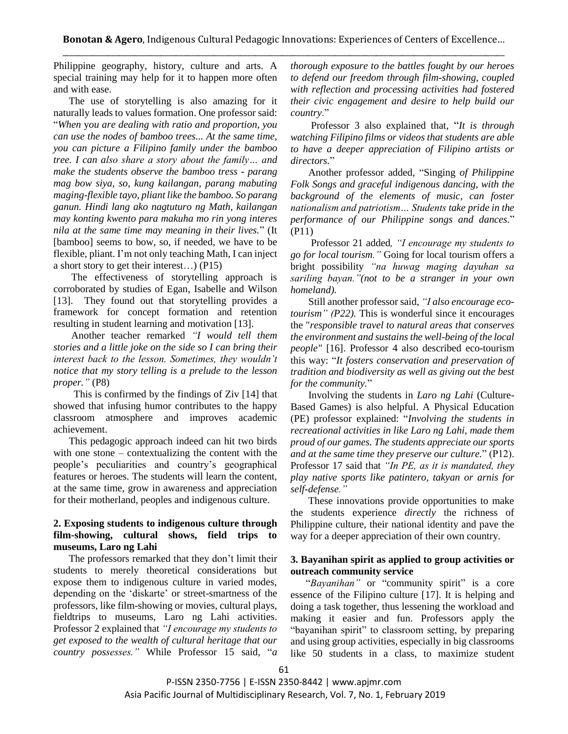Philippine geography, history, culture and arts. A special training may help for it to happen more often and with ease.

 The use of storytelling is also amazing for it naturally leads to values formation. One professor said: "*When* y*ou are dealing with ratio and proportion, you can use the nodes of bamboo trees... At the same time, you can picture a Filipino family under the bamboo tree. I can also share a story about the family… and make the students observe the bamboo tress - parang mag bow siya, so, kung kailangan, parang mabuting maging-flexible tayo, pliant like the bamboo. So parang ganun. Hindi lang ako nagtuturo ng Math, kailangan may konting kwento para makuha mo rin yong interes nila at the same time may meaning in their lives.*" (It [bamboo] seems to bow, so, if needed, we have to be flexible, pliant. I'm not only teaching Math, I can inject a short story to get their interest…) (P15)

 The effectiveness of storytelling approach is corroborated by studies of Egan, Isabelle and Wilson [13]. They found out that storytelling provides a framework for concept formation and retention resulting in student learning and motivation [13].

Another teacher remarked *"I would tell them stories and a little joke on the side so I can bring their interest back to the lesson. Sometimes, they wouldn't notice that my story telling is a prelude to the lesson proper."* (P8)

 This is confirmed by the findings of Ziv [14] that showed that infusing humor contributes to the happy classroom atmosphere and improves academic achievement.

 This pedagogic approach indeed can hit two birds with one stone – contextualizing the content with the people's peculiarities and country's geographical features or heroes. The students will learn the content, at the same time, grow in awareness and appreciation for their motherland, peoples and indigenous culture.

# **2. Exposing students to indigenous culture through film-showing, cultural shows, field trips to museums, Laro ng Lahi**

 The professors remarked that they don't limit their students to merely theoretical considerations but expose them to indigenous culture in varied modes, depending on the 'diskarte' or street-smartness of the professors, like film-showing or movies, cultural plays, fieldtrips to museums, Laro ng Lahi activities. Professor 2 explained that *"I encourage my students to get exposed to the wealth of cultural heritage that our country possesses."* While Professor 15 said, "*a*

*thorough exposure to the battles fought by our heroes to defend our freedom through film-showing, coupled with reflection and processing activities had fostered their civic engagement and desire to help build our country*."

 Professor 3 also explained that, "*It is through watching Filipino films or videos that students are able to have a deeper appreciation of Filipino artists or directors.*"

 Another professor added, "Singing *of Philippine Folk Songs and graceful indigenous dancing, with the background of the elements of music, can foster nationalism and patriotism… Students take pride in the performance of our Philippine songs and dances.*" (P11)

 Professor 21 added*, "I encourage my students to go for local tourism."* Going for local tourism offers a bright possibility *"na huwag maging dayuhan sa sariling bayan."(not to be a stranger in your own homeland).* 

 Still another professor said, *"I also encourage ecotourism" (P22).* This is wonderful since it encourages the "*responsible travel to natural areas that conserves the environment and sustains the well-being of the local people"* [16]. Professor 4 also described eco-tourism this way: "*It fosters conservation and preservation of tradition and biodiversity as well as giving out the best for the community.*"

 Involving the students in *Laro ng Lahi* (Culture-Based Games) is also helpful. A Physical Education (PE) professor explained: "*Involving the students in recreational activities in like Laro ng Lahi, made them proud of our games. The students appreciate our sports and at the same time they preserve our culture.*" (P12). Professor 17 said that *"In PE, as it is mandated, they play native sports like patintero, takyan or arnis for self-defense."* 

 These innovations provide opportunities to make the students experience *directly* the richness of Philippine culture, their national identity and pave the way for a deeper appreciation of their own country.

### **3. Bayanihan spirit as applied to group activities or outreach community service**

 "*Bayanihan"* or "community spirit" is a core essence of the Filipino culture [17]. It is helping and doing a task together, thus lessening the workload and making it easier and fun. Professors apply the "bayanihan spirit" to classroom setting, by preparing and using group activities, especially in big classrooms like 50 students in a class, to maximize student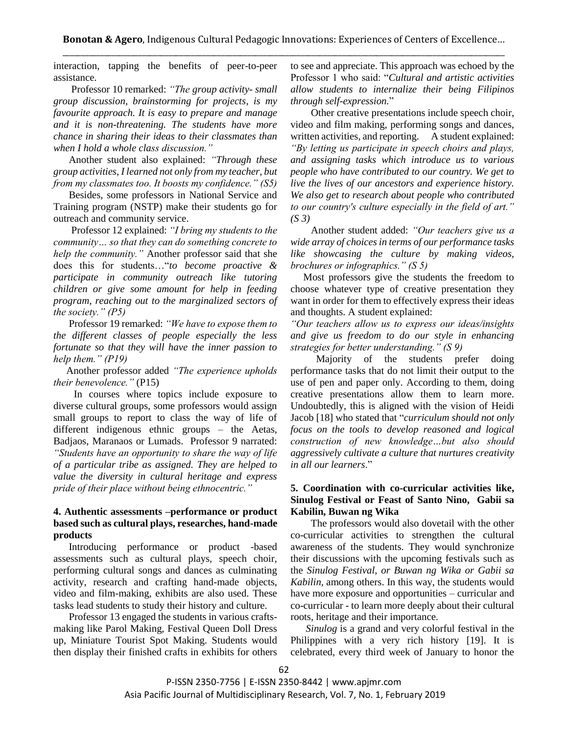interaction, tapping the benefits of peer-to-peer assistance.

 Professor 10 remarked: *"The group activity- small group discussion, brainstorming for projects, is my favourite approach. It is easy to prepare and manage and it is non-threatening. The students have more chance in sharing their ideas to their classmates than when I hold a whole class discussion."*

 Another student also explained: *"Through these group activities, I learned not only from my teacher, but from my classmates too. It boosts my confidence." (S5)*

 Besides, some professors in National Service and Training program (NSTP) make their students go for outreach and community service.

 Professor 12 explained: *"I bring my students to the community… so that they can do something concrete to help the community."* Another professor said that she does this for students…"*to become proactive & participate in community outreach like tutoring children or give some amount for help in feeding program, reaching out to the marginalized sectors of the society." (P5)*

 Professor 19 remarked: *"We have to expose them to the different classes of people especially the less fortunate so that they will have the inner passion to help them." (P19)*

 Another professor added *"The experience upholds their benevolence."* (P15)

 In courses where topics include exposure to diverse cultural groups, some professors would assign small groups to report to class the way of life of different indigenous ethnic groups – the Aetas, Badjaos, Maranaos or Lumads. Professor 9 narrated: *"Students have an opportunity to share the way of life of a particular tribe as assigned. They are helped to value the diversity in cultural heritage and express pride of their place without being ethnocentric."*

### **4. Authentic assessments –performance or product based such as cultural plays, researches, hand-made products**

 Introducing performance or product -based assessments such as cultural plays, speech choir, performing cultural songs and dances as culminating activity, research and crafting hand-made objects, video and film-making, exhibits are also used. These tasks lead students to study their history and culture.

 Professor 13 engaged the students in various craftsmaking like Parol Making, Festival Queen Doll Dress up, Miniature Tourist Spot Making. Students would then display their finished crafts in exhibits for others to see and appreciate. This approach was echoed by the Professor 1 who said: "*Cultural and artistic activities allow students to internalize their being Filipinos through self-expression.*"

 Other creative presentations include speech choir, video and film making, performing songs and dances, written activities, and reporting. A student explained: *"By letting us participate in speech choirs and plays, and assigning tasks which introduce us to various people who have contributed to our country. We get to live the lives of our ancestors and experience history. We also get to research about people who contributed to our country's culture especially in the field of art." (S 3)*

 Another student added: *"Our teachers give us a wide array of choices in terms of our performance tasks like showcasing the culture by making videos, brochures or infographics." (S 5)* 

 Most professors give the students the freedom to choose whatever type of creative presentation they want in order for them to effectively express their ideas and thoughts. A student explained:

*"Our teachers allow us to express our ideas/insights and give us freedom to do our style in enhancing strategies for better understanding." (S 9)* 

 Majority of the students prefer doing performance tasks that do not limit their output to the use of pen and paper only. According to them, doing creative presentations allow them to learn more. Undoubtedly, this is aligned with the vision of Heidi Jacob [18] who stated that "*curriculum should not only focus on the tools to develop reasoned and logical construction of new knowledge…but also should aggressively cultivate a culture that nurtures creativity in all our learners*."

### **5. Coordination with co-curricular activities like, Sinulog Festival or Feast of Santo Nino, Gabii sa Kabilin, Buwan ng Wika**

 The professors would also dovetail with the other co-curricular activities to strengthen the cultural awareness of the students. They would synchronize their discussions with the upcoming festivals such as the *Sinulog Festival, or Buwan ng Wika or Gabii sa Kabilin,* among others. In this way, the students would have more exposure and opportunities – curricular and co-curricular - to learn more deeply about their cultural roots, heritage and their importance.

 *Sinulog* is a grand and very colorful festival in the Philippines with a very rich history [19]. It is celebrated, every third week of January to honor the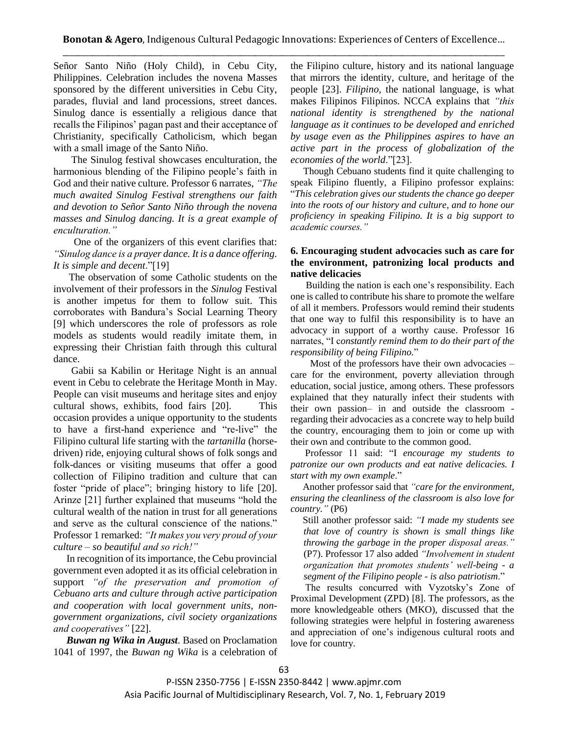Señor Santo Niño (Holy Child), in Cebu City, Philippines. Celebration includes the novena Masses sponsored by the different universities in Cebu City, parades, fluvial and land processions, street dances. Sinulog dance is essentially a religious dance that recalls the Filipinos' pagan past and their acceptance of Christianity, specifically Catholicism, which began with a small image of the Santo Niño.

 The Sinulog festival showcases enculturation, the harmonious blending of the Filipino people's faith in God and their native culture. Professor 6 narrates, *"The much awaited Sinulog Festival strengthens our faith and devotion to Señor Santo Niño through the novena masses and Sinulog dancing. It is a great example of enculturation."*

 One of the organizers of this event clarifies that: *"Sinulog dance is a prayer dance. It is a dance offering. It is simple and decent*."[19]

 The observation of some Catholic students on the involvement of their professors in the *Sinulog* Festival is another impetus for them to follow suit. This corroborates with Bandura's Social Learning Theory [9] which underscores the role of professors as role models as students would readily imitate them, in expressing their Christian faith through this cultural dance.

Gabii sa Kabilin or Heritage Night is an annual event in Cebu to celebrate the Heritage Month in May. People can visit museums and heritage sites and enjoy cultural shows, exhibits, food fairs [20]. This occasion provides a unique opportunity to the students to have a first-hand experience and "re-live" the Filipino cultural life starting with the *tartanilla* (horsedriven) ride, enjoying cultural shows of folk songs and folk-dances or visiting museums that offer a good collection of Filipino tradition and culture that can foster "pride of place"; bringing history to life [20]. Arinze [21] further explained that museums "hold the cultural wealth of the nation in trust for all generations and serve as the cultural conscience of the nations." Professor 1 remarked: *"It makes you very proud of your culture – so beautiful and so rich!"*

In recognition of its importance, the Cebu provincial government even adopted it as its official celebration in support *"of the preservation and promotion of Cebuano arts and culture through active participation and cooperation with local government units, nongovernment organizations, civil society organizations and cooperatives"* [22].

*Buwan ng Wika in August.* Based on Proclamation 1041 of 1997, the *Buwan ng Wika* is a celebration of the Filipino culture, history and its national language that mirrors the identity, culture, and heritage of the people [23]. *Filipino,* the national language, is what makes Filipinos Filipinos. NCCA explains that *"this national identity is strengthened by the national language as it continues to be developed and enriched by usage even as the Philippines aspires to have an active part in the process of globalization of the economies of the world*."[23].

 Though Cebuano students find it quite challenging to speak Filipino fluently, a Filipino professor explains: "*This celebration gives our students the chance go deeper into the roots of our history and culture, and to hone our proficiency in speaking Filipino. It is a big support to academic courses."*

# **6. Encouraging student advocacies such as care for the environment, patronizing local products and native delicacies**

 Building the nation is each one's responsibility. Each one is called to contribute his share to promote the welfare of all it members. Professors would remind their students that one way to fulfil this responsibility is to have an advocacy in support of a worthy cause. Professor 16 narrates, "I c*onstantly remind them to do their part of the responsibility of being Filipino.*"

 Most of the professors have their own advocacies – care for the environment, poverty alleviation through education, social justice, among others. These professors explained that they naturally infect their students with their own passion– in and outside the classroom regarding their advocacies as a concrete way to help build the country, encouraging them to join or come up with their own and contribute to the common good.

Professor 11 said: "I *encourage my students to patronize our own products and eat native delicacies. I start with my own example*."

 Another professor said that *"care for the environment, ensuring the cleanliness of the classroom is also love for country."* (P6)

 Still another professor said: *"I made my students see that love of country is shown is small things like throwing the garbage in the proper disposal areas."* (P7). Professor 17 also added *"Involvement in student organization that promotes students' well-being - a segment of the Filipino people - is also patriotism*."

 The results concurred with Vyzotsky's Zone of Proximal Development (ZPD) [8]. The professors, as the more knowledgeable others (MKO), discussed that the following strategies were helpful in fostering awareness and appreciation of one's indigenous cultural roots and love for country.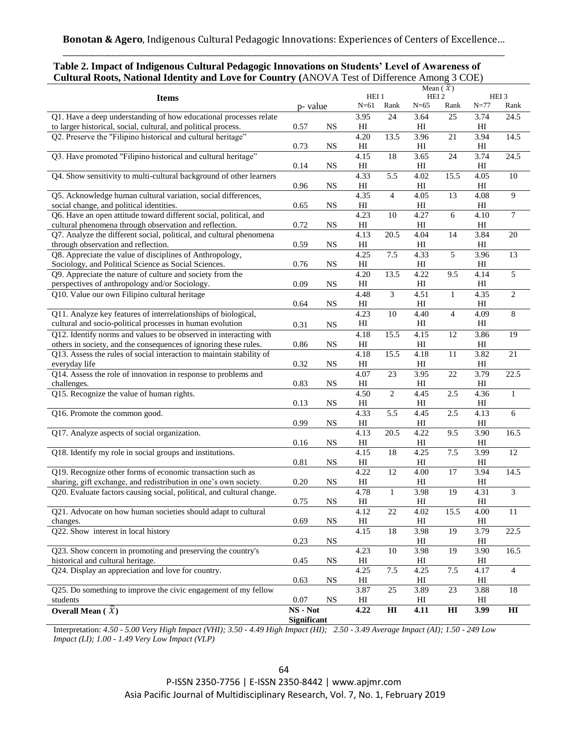| $\frac{1}{2}$<br>$\frac{1}{2}$                                        |             |             |                              |                 |                            | $(11.10 \times 11.1)$ cot of Billet check a milion, $\sigma$ COL<br>Mean $(\mathcal{X})$ |                            |                  |
|-----------------------------------------------------------------------|-------------|-------------|------------------------------|-----------------|----------------------------|------------------------------------------------------------------------------------------|----------------------------|------------------|
| <b>Items</b>                                                          |             |             | HEI <sub>1</sub><br>$N = 61$ |                 | HEI <sub>2</sub>           |                                                                                          | HEI3                       |                  |
|                                                                       |             | p-value     |                              | Rank            | $N=65$                     | Rank                                                                                     | $N = 77$                   | Rank             |
| Q1. Have a deep understanding of how educational processes relate     |             |             | 3.95                         | 24              | 3.64                       | 25                                                                                       | 3.74                       | 24.5             |
| to larger historical, social, cultural, and political process.        |             | $_{\rm NS}$ | HI                           |                 | HI                         |                                                                                          | H                          |                  |
| Q2. Preserve the "Filipino historical and cultural heritage"          |             |             | 4.20                         | 13.5            | 3.96                       | $\overline{21}$                                                                          | 3.94                       | 14.5             |
|                                                                       |             | <b>NS</b>   | H                            |                 | H                          |                                                                                          | H                          |                  |
| Q3. Have promoted "Filipino historical and cultural heritage"         |             |             | 4.15                         | 18              | 3.65                       | 24                                                                                       | 3.74                       | 24.5             |
|                                                                       |             | <b>NS</b>   | HI                           |                 | HI                         |                                                                                          | HI                         |                  |
| Q4. Show sensitivity to multi-cultural background of other learners   |             |             | 4.33                         | 5.5             | 4.02                       | 15.5                                                                                     | 4.05                       | $10\,$           |
|                                                                       |             | <b>NS</b>   | H                            |                 | HI                         |                                                                                          | H                          |                  |
| Q5. Acknowledge human cultural variation, social differences,         |             |             | 4.35                         | $\overline{4}$  | 4.05                       | 13                                                                                       | 4.08                       | $\overline{9}$   |
| social change, and political identities.                              |             | $_{\rm NS}$ | HI                           |                 | HI                         |                                                                                          | HI                         |                  |
| Q6. Have an open attitude toward different social, political, and     |             |             | 4.23                         | 10              | 4.27                       | 6                                                                                        | 4.10                       | $7\phantom{.0}$  |
| cultural phenomena through observation and reflection.                |             | $_{\rm NS}$ | $\rm HI$                     |                 | $\mathop{\rm HI}\nolimits$ |                                                                                          | $\mathop{\rm HI}\nolimits$ |                  |
| Q7. Analyze the different social, political, and cultural phenomena   |             |             | 4.13                         | 20.5            | 4.04                       | 14                                                                                       | 3.84                       | 20               |
| through observation and reflection.                                   |             | $_{\rm NS}$ | $\rm HI$                     |                 | HI                         |                                                                                          | $\mathop{\rm HI}\nolimits$ |                  |
| Q8. Appreciate the value of disciplines of Anthropology,              |             |             | 4.25                         | 7.5             | 4.33                       | 5                                                                                        | 3.96                       | 13               |
| Sociology, and Political Science as Social Sciences.                  |             | <b>NS</b>   | $\rm HI$                     |                 | $\mathop{\rm HI}\nolimits$ |                                                                                          | $\mathop{\rm HI}\nolimits$ |                  |
| Q9. Appreciate the nature of culture and society from the             |             |             | 4.20                         | 13.5            | 4.22                       | 9.5                                                                                      | 4.14                       | 5                |
| perspectives of anthropology and/or Sociology.                        |             | <b>NS</b>   | H                            |                 | $\mathop{\rm HI}\nolimits$ |                                                                                          | H                          |                  |
| Q10. Value our own Filipino cultural heritage                         |             |             | 4.48                         | 3               | 4.51                       | $\mathbf{1}$                                                                             | 4.35                       | $\boldsymbol{2}$ |
|                                                                       | 0.64        | <b>NS</b>   | H <sub>I</sub>               |                 | HI                         |                                                                                          | H                          |                  |
| Q11. Analyze key features of interrelationships of biological,        |             |             | 4.23                         | $\overline{10}$ | 4.40                       | $\overline{4}$                                                                           | 4.09                       | $8\,$            |
| cultural and socio-political processes in human evolution             | 0.31        | $_{\rm NS}$ | $\rm HI$                     |                 | $\mathop{\rm HI}\nolimits$ |                                                                                          | $\mathop{\rm HI}\nolimits$ |                  |
| Q12. Identify norms and values to be observed in interacting with     |             |             | 4.18                         | 15.5            | 4.15                       | $\overline{12}$                                                                          | 3.86                       | $\overline{19}$  |
| others in society, and the consequences of ignoring these rules.      |             | <b>NS</b>   | HI                           |                 | $\mathop{\rm HI}\nolimits$ |                                                                                          | $\mathop{\rm HI}\nolimits$ |                  |
| Q13. Assess the rules of social interaction to maintain stability of  |             |             | 4.18                         | 15.5            | 4.18                       | 11                                                                                       | 3.82                       | $21\,$           |
| everyday life                                                         |             | <b>NS</b>   | $\rm HI$                     |                 | HI                         |                                                                                          | $\mathop{\rm HI}\nolimits$ |                  |
| Q14. Assess the role of innovation in response to problems and        |             |             | 4.07                         | 23              | 3.95                       | $\overline{22}$                                                                          | 3.79                       | 22.5             |
| challenges.                                                           |             | $_{\rm NS}$ | $\rm HI$                     |                 | H <sub>I</sub>             |                                                                                          | H                          |                  |
| Q15. Recognize the value of human rights.                             |             |             | 4.50                         | $\overline{2}$  | 4.45                       | 2.5                                                                                      | 4.36                       | $\mathbf{1}$     |
|                                                                       | 0.13        | <b>NS</b>   | $\mathop{\rm HI}\nolimits$   |                 | $\mathop{\rm HI}\nolimits$ |                                                                                          | $\mathop{\rm HI}\nolimits$ |                  |
| Q16. Promote the common good.                                         |             |             | 4.33                         | 5.5             | 4.45                       | 2.5                                                                                      | 4.13                       | $\overline{6}$   |
|                                                                       | 0.99        | <b>NS</b>   | H <sub>I</sub>               |                 | H <sub>I</sub>             |                                                                                          | $\mathop{\rm HI}\nolimits$ |                  |
| Q17. Analyze aspects of social organization.                          |             |             | 4.13                         | 20.5            | 4.22                       | 9.5                                                                                      | 3.90                       | 16.5             |
|                                                                       | 0.16        | <b>NS</b>   | H <sub>I</sub>               |                 | $\rm HI$                   |                                                                                          | H                          |                  |
| Q18. Identify my role in social groups and institutions.              |             |             | 4.15                         | 18              | 4.25                       | 7.5                                                                                      | 3.99                       | 12               |
|                                                                       | 0.81        | <b>NS</b>   | H <sub>I</sub>               |                 | HI                         |                                                                                          | H                          |                  |
| Q19. Recognize other forms of economic transaction such as            |             |             | 4.22                         | $\overline{12}$ | 4.00                       | 17                                                                                       | 3.94                       | 14.5             |
| sharing, gift exchange, and redistribution in one's own society.      |             | <b>NS</b>   | $\mathop{\rm HI}\nolimits$   |                 | $\mathop{\rm HI}\nolimits$ |                                                                                          | $\mathop{\rm HI}\nolimits$ |                  |
| Q20. Evaluate factors causing social, political, and cultural change. | 0.20        |             | 4.78                         | $\mathbf{1}$    | 3.98                       | 19                                                                                       | 4.31                       | $\overline{3}$   |
|                                                                       | 0.75        | $_{\rm NS}$ | H <sub>I</sub>               |                 | HI                         |                                                                                          | HI                         |                  |
| Q21. Advocate on how human societies should adapt to cultural         |             |             | 4.12                         | 22              | 4.02                       | 15.5                                                                                     | 4.00                       | 11               |
| changes.                                                              |             | <b>NS</b>   | HI                           |                 | HI                         |                                                                                          | H                          |                  |
| Q22. Show interest in local history                                   |             |             | 4.15                         | $18\,$          | 3.98                       | 19                                                                                       | 3.79                       | 22.5             |
|                                                                       | 0.23        | <b>NS</b>   |                              |                 | HI                         |                                                                                          | HI                         |                  |
| Q23. Show concern in promoting and preserving the country's           |             |             | 4.23                         | $\overline{10}$ | 3.98                       | $\overline{19}$                                                                          | 3.90                       | 16.5             |
| historical and cultural heritage.                                     |             | <b>NS</b>   | HI                           |                 | HI                         |                                                                                          | HI                         |                  |
| Q24. Display an appreciation and love for country.                    |             |             | 4.25                         | 7.5             | 4.25                       | 7.5                                                                                      | 4.17                       | 4                |
|                                                                       | 0.63        | <b>NS</b>   | HI                           |                 | HI                         |                                                                                          | HI                         |                  |
| Q25. Do something to improve the civic engagement of my fellow        |             |             | 3.87                         | $\overline{25}$ | 3.89                       | $\overline{23}$                                                                          | 3.88                       | 18               |
| students                                                              | 0.07        | <b>NS</b>   | HI                           |                 | HI                         |                                                                                          | HI                         |                  |
| Overall Mean ( $\bar{x}$ )                                            |             | NS - Not    | 4.22                         | $\mathbf{H}$    | 4.11                       | $\mathbf{H}$                                                                             | 3.99                       | H <sub>I</sub>   |
|                                                                       | Significant |             |                              |                 |                            |                                                                                          |                            |                  |

# **Table 2. Impact of Indigenous Cultural Pedagogic Innovations on Students' Level of Awareness of Cultural Roots, National Identity and Love for Country (**ANOVA Test of Difference Among 3 COE)

Interpretation: *4.50 - 5.00 Very High Impact (VHI); 3.50 - 4.49 High Impact (HI); 2.50 - 3.49 Average Impact (AI); 1.50 - 249 Low Impact (LI); 1.00 - 1.49 Very Low Impact (VLP)*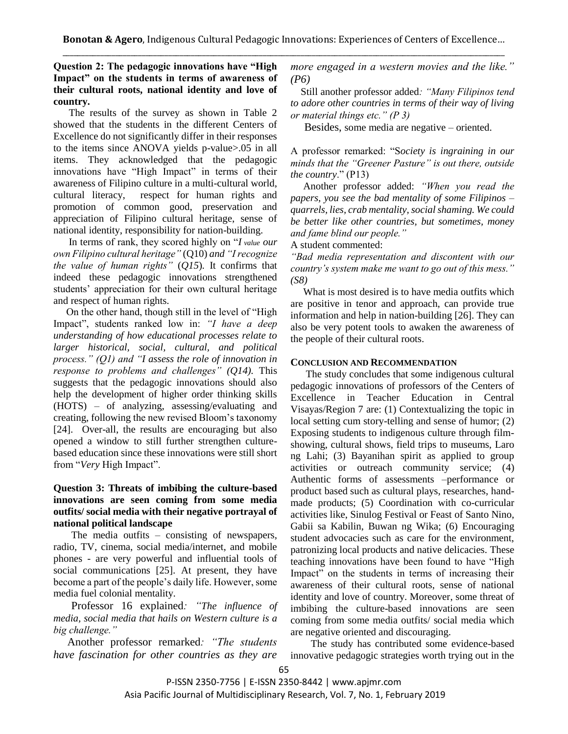# **Question 2: The pedagogic innovations have "High Impact" on the students in terms of awareness of their cultural roots, national identity and love of country.**

 The results of the survey as shown in Table 2 showed that the students in the different Centers of Excellence do not significantly differ in their responses to the items since ANOVA yields p-value>.05 in all items. They acknowledged that the pedagogic innovations have "High Impact" in terms of their awareness of Filipino culture in a multi-cultural world, cultural literacy, respect for human rights and promotion of common good, preservation and appreciation of Filipino cultural heritage, sense of national identity, responsibility for nation-building.

 In terms of rank, they scored highly on "*I value our own Filipino cultural heritage"* (Q10) *and "I recognize the value of human rights"* (*Q15*)*.* It confirms that indeed these pedagogic innovations strengthened students' appreciation for their own cultural heritage and respect of human rights.

 On the other hand, though still in the level of "High Impact", students ranked low in: *"I have a deep understanding of how educational processes relate to larger historical, social, cultural, and political process." (Q1) and "I assess the role of innovation in response to problems and challenges" (Q14).* This suggests that the pedagogic innovations should also help the development of higher order thinking skills (HOTS) – of analyzing, assessing/evaluating and creating, following the new revised Bloom's taxonomy [24]. Over-all, the results are encouraging but also opened a window to still further strengthen culturebased education since these innovations were still short from "*Very* High Impact".

# **Question 3: Threats of imbibing the culture-based innovations are seen coming from some media outfits/ social media with their negative portrayal of national political landscape**

 The media outfits – consisting of newspapers, radio, TV, cinema, social media/internet, and mobile phones - are very powerful and influential tools of social communications [25]. At present, they have become a part of the people's daily life. However, some media fuel colonial mentality.

 Professor 16 explained*: "The influence of media, social media that hails on Western culture is a big challenge."*

 Another professor remarked*: "The students have fascination for other countries as they are*  *more engaged in a western movies and the like." (P6)*

Still another professor added*: "Many Filipinos tend to adore other countries in terms of their way of living or material things etc." (P 3)*

Besides, some media are negative – oriented.

A professor remarked: "S*ociety is ingraining in our minds that the "Greener Pasture" is out there, outside the country*." (P13)

 Another professor added: *"When you read the papers, you see the bad mentality of some Filipinos – quarrels, lies, crab mentality, social shaming. We could be better like other countries, but sometimes, money and fame blind our people."*

A student commented:

*"Bad media representation and discontent with our country's system make me want to go out of this mess." (S8)*

 What is most desired is to have media outfits which are positive in tenor and approach, can provide true information and help in nation-building [26]. They can also be very potent tools to awaken the awareness of the people of their cultural roots.

### **CONCLUSION AND RECOMMENDATION**

 The study concludes that some indigenous cultural pedagogic innovations of professors of the Centers of Excellence in Teacher Education in Central Visayas/Region 7 are: (1) Contextualizing the topic in local setting cum story-telling and sense of humor; (2) Exposing students to indigenous culture through filmshowing, cultural shows, field trips to museums, Laro ng Lahi; (3) Bayanihan spirit as applied to group activities or outreach community service; (4) Authentic forms of assessments –performance or product based such as cultural plays, researches, handmade products; (5) Coordination with co-curricular activities like, Sinulog Festival or Feast of Santo Nino, Gabii sa Kabilin, Buwan ng Wika; (6) Encouraging student advocacies such as care for the environment, patronizing local products and native delicacies. These teaching innovations have been found to have "High Impact" on the students in terms of increasing their awareness of their cultural roots, sense of national identity and love of country. Moreover, some threat of imbibing the culture-based innovations are seen coming from some media outfits/ social media which are negative oriented and discouraging.

 The study has contributed some evidence-based innovative pedagogic strategies worth trying out in the